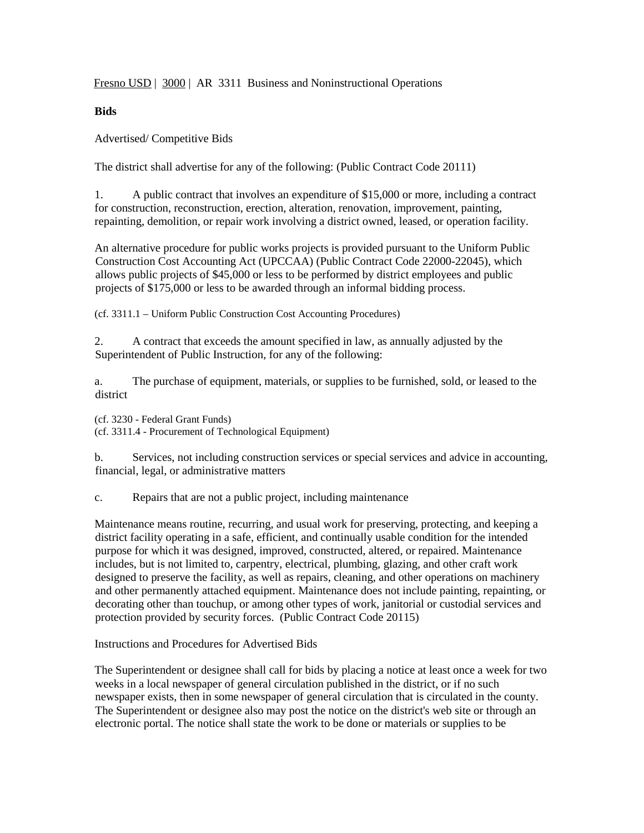Fresno USD | 3000 | AR 3311 Business and Noninstructional Operations

## **Bids**

Advertised/ Competitive Bids

The district shall advertise for any of the following: (Public Contract Code 20111)

1. A public contract that involves an expenditure of \$15,000 or more, including a contract for construction, reconstruction, erection, alteration, renovation, improvement, painting, repainting, demolition, or repair work involving a district owned, leased, or operation facility.

An alternative procedure for public works projects is provided pursuant to the Uniform Public Construction Cost Accounting Act (UPCCAA) (Public Contract Code 22000-22045), which allows public projects of \$45,000 or less to be performed by district employees and public projects of \$175,000 or less to be awarded through an informal bidding process.

(cf. 3311.1 – Uniform Public Construction Cost Accounting Procedures)

2. A contract that exceeds the amount specified in law, as annually adjusted by the Superintendent of Public Instruction, for any of the following:

a. The purchase of equipment, materials, or supplies to be furnished, sold, or leased to the district

(cf. 3230 - Federal Grant Funds) (cf. 3311.4 - Procurement of Technological Equipment)

b. Services, not including construction services or special services and advice in accounting, financial, legal, or administrative matters

c. Repairs that are not a public project, including maintenance

Maintenance means routine, recurring, and usual work for preserving, protecting, and keeping a district facility operating in a safe, efficient, and continually usable condition for the intended purpose for which it was designed, improved, constructed, altered, or repaired. Maintenance includes, but is not limited to, carpentry, electrical, plumbing, glazing, and other craft work designed to preserve the facility, as well as repairs, cleaning, and other operations on machinery and other permanently attached equipment. Maintenance does not include painting, repainting, or decorating other than touchup, or among other types of work, janitorial or custodial services and protection provided by security forces. (Public Contract Code 20115)

Instructions and Procedures for Advertised Bids

The Superintendent or designee shall call for bids by placing a notice at least once a week for two weeks in a local newspaper of general circulation published in the district, or if no such newspaper exists, then in some newspaper of general circulation that is circulated in the county. The Superintendent or designee also may post the notice on the district's web site or through an electronic portal. The notice shall state the work to be done or materials or supplies to be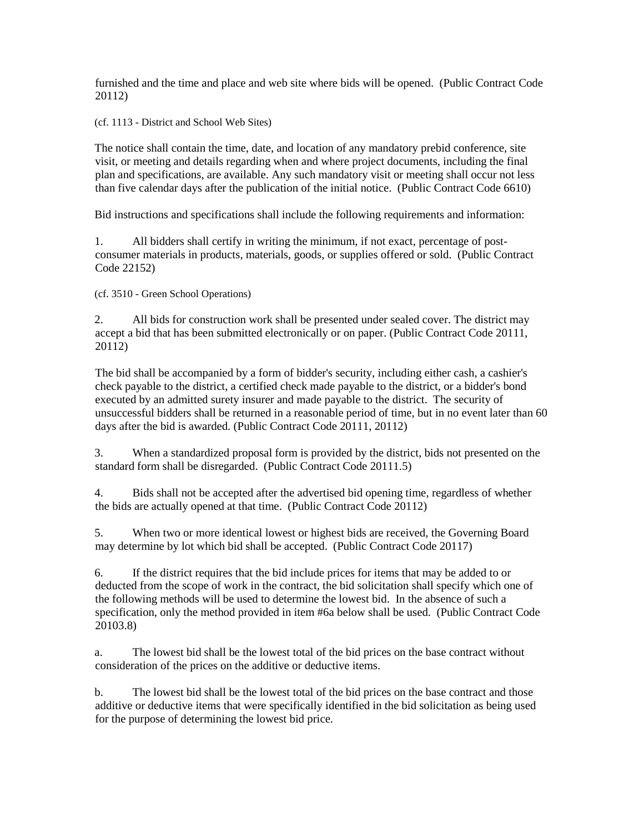furnished and the time and place and web site where bids will be opened. (Public Contract Code 20112)

(cf. 1113 - District and School Web Sites)

The notice shall contain the time, date, and location of any mandatory prebid conference, site visit, or meeting and details regarding when and where project documents, including the final plan and specifications, are available. Any such mandatory visit or meeting shall occur not less than five calendar days after the publication of the initial notice. (Public Contract Code 6610)

Bid instructions and specifications shall include the following requirements and information:

1. All bidders shall certify in writing the minimum, if not exact, percentage of postconsumer materials in products, materials, goods, or supplies offered or sold. (Public Contract Code 22152)

(cf. 3510 - Green School Operations)

2. All bids for construction work shall be presented under sealed cover. The district may accept a bid that has been submitted electronically or on paper. (Public Contract Code 20111, 20112)

The bid shall be accompanied by a form of bidder's security, including either cash, a cashier's check payable to the district, a certified check made payable to the district, or a bidder's bond executed by an admitted surety insurer and made payable to the district. The security of unsuccessful bidders shall be returned in a reasonable period of time, but in no event later than 60 days after the bid is awarded. (Public Contract Code 20111, 20112)

3. When a standardized proposal form is provided by the district, bids not presented on the standard form shall be disregarded. (Public Contract Code 20111.5)

4. Bids shall not be accepted after the advertised bid opening time, regardless of whether the bids are actually opened at that time. (Public Contract Code 20112)

5. When two or more identical lowest or highest bids are received, the Governing Board may determine by lot which bid shall be accepted. (Public Contract Code 20117)

6. If the district requires that the bid include prices for items that may be added to or deducted from the scope of work in the contract, the bid solicitation shall specify which one of the following methods will be used to determine the lowest bid. In the absence of such a specification, only the method provided in item #6a below shall be used. (Public Contract Code 20103.8)

a. The lowest bid shall be the lowest total of the bid prices on the base contract without consideration of the prices on the additive or deductive items.

b. The lowest bid shall be the lowest total of the bid prices on the base contract and those additive or deductive items that were specifically identified in the bid solicitation as being used for the purpose of determining the lowest bid price.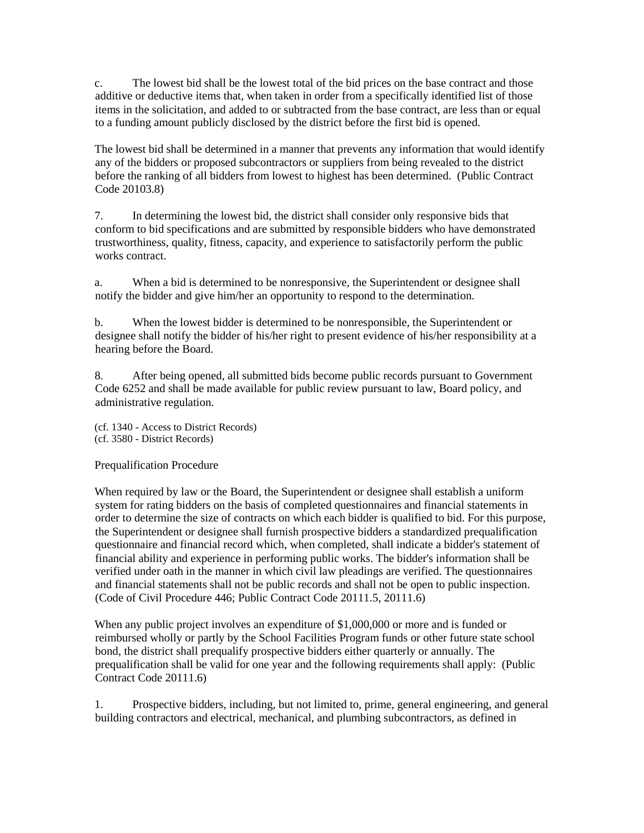c. The lowest bid shall be the lowest total of the bid prices on the base contract and those additive or deductive items that, when taken in order from a specifically identified list of those items in the solicitation, and added to or subtracted from the base contract, are less than or equal to a funding amount publicly disclosed by the district before the first bid is opened.

The lowest bid shall be determined in a manner that prevents any information that would identify any of the bidders or proposed subcontractors or suppliers from being revealed to the district before the ranking of all bidders from lowest to highest has been determined. (Public Contract Code 20103.8)

7. In determining the lowest bid, the district shall consider only responsive bids that conform to bid specifications and are submitted by responsible bidders who have demonstrated trustworthiness, quality, fitness, capacity, and experience to satisfactorily perform the public works contract.

a. When a bid is determined to be nonresponsive, the Superintendent or designee shall notify the bidder and give him/her an opportunity to respond to the determination.

b. When the lowest bidder is determined to be nonresponsible, the Superintendent or designee shall notify the bidder of his/her right to present evidence of his/her responsibility at a hearing before the Board.

8. After being opened, all submitted bids become public records pursuant to Government Code 6252 and shall be made available for public review pursuant to law, Board policy, and administrative regulation.

(cf. 1340 - Access to District Records) (cf. 3580 - District Records)

Prequalification Procedure

When required by law or the Board, the Superintendent or designee shall establish a uniform system for rating bidders on the basis of completed questionnaires and financial statements in order to determine the size of contracts on which each bidder is qualified to bid. For this purpose, the Superintendent or designee shall furnish prospective bidders a standardized prequalification questionnaire and financial record which, when completed, shall indicate a bidder's statement of financial ability and experience in performing public works. The bidder's information shall be verified under oath in the manner in which civil law pleadings are verified. The questionnaires and financial statements shall not be public records and shall not be open to public inspection. (Code of Civil Procedure 446; Public Contract Code 20111.5, 20111.6)

When any public project involves an expenditure of \$1,000,000 or more and is funded or reimbursed wholly or partly by the School Facilities Program funds or other future state school bond, the district shall prequalify prospective bidders either quarterly or annually. The prequalification shall be valid for one year and the following requirements shall apply: (Public Contract Code 20111.6)

1. Prospective bidders, including, but not limited to, prime, general engineering, and general building contractors and electrical, mechanical, and plumbing subcontractors, as defined in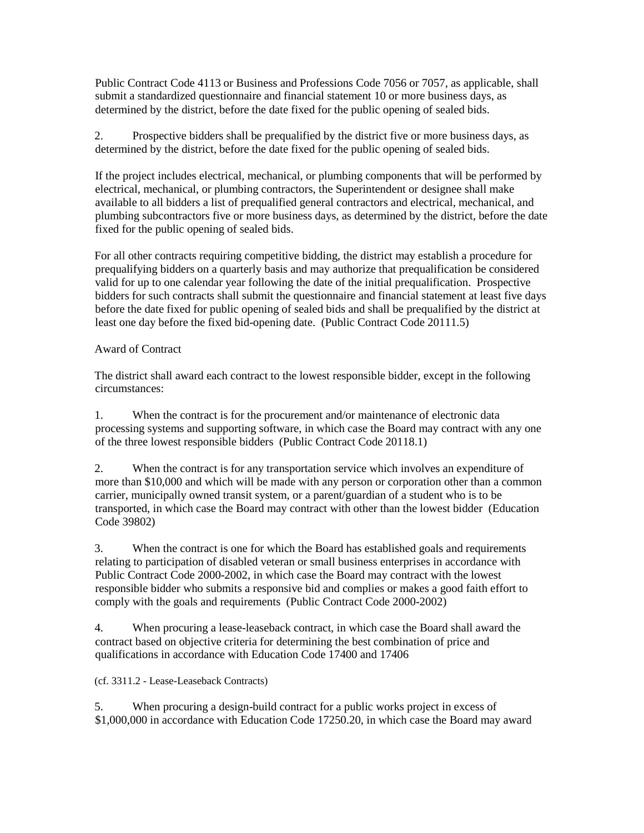Public Contract Code 4113 or Business and Professions Code 7056 or 7057, as applicable, shall submit a standardized questionnaire and financial statement 10 or more business days, as determined by the district, before the date fixed for the public opening of sealed bids.

2. Prospective bidders shall be prequalified by the district five or more business days, as determined by the district, before the date fixed for the public opening of sealed bids.

If the project includes electrical, mechanical, or plumbing components that will be performed by electrical, mechanical, or plumbing contractors, the Superintendent or designee shall make available to all bidders a list of prequalified general contractors and electrical, mechanical, and plumbing subcontractors five or more business days, as determined by the district, before the date fixed for the public opening of sealed bids.

For all other contracts requiring competitive bidding, the district may establish a procedure for prequalifying bidders on a quarterly basis and may authorize that prequalification be considered valid for up to one calendar year following the date of the initial prequalification. Prospective bidders for such contracts shall submit the questionnaire and financial statement at least five days before the date fixed for public opening of sealed bids and shall be prequalified by the district at least one day before the fixed bid-opening date. (Public Contract Code 20111.5)

# Award of Contract

The district shall award each contract to the lowest responsible bidder, except in the following circumstances:

1. When the contract is for the procurement and/or maintenance of electronic data processing systems and supporting software, in which case the Board may contract with any one of the three lowest responsible bidders (Public Contract Code 20118.1)

2. When the contract is for any transportation service which involves an expenditure of more than \$10,000 and which will be made with any person or corporation other than a common carrier, municipally owned transit system, or a parent/guardian of a student who is to be transported, in which case the Board may contract with other than the lowest bidder (Education Code 39802)

3. When the contract is one for which the Board has established goals and requirements relating to participation of disabled veteran or small business enterprises in accordance with Public Contract Code 2000-2002, in which case the Board may contract with the lowest responsible bidder who submits a responsive bid and complies or makes a good faith effort to comply with the goals and requirements (Public Contract Code 2000-2002)

4. When procuring a lease-leaseback contract, in which case the Board shall award the contract based on objective criteria for determining the best combination of price and qualifications in accordance with Education Code 17400 and 17406

## (cf. 3311.2 - Lease-Leaseback Contracts)

5. When procuring a design-build contract for a public works project in excess of \$1,000,000 in accordance with Education Code 17250.20, in which case the Board may award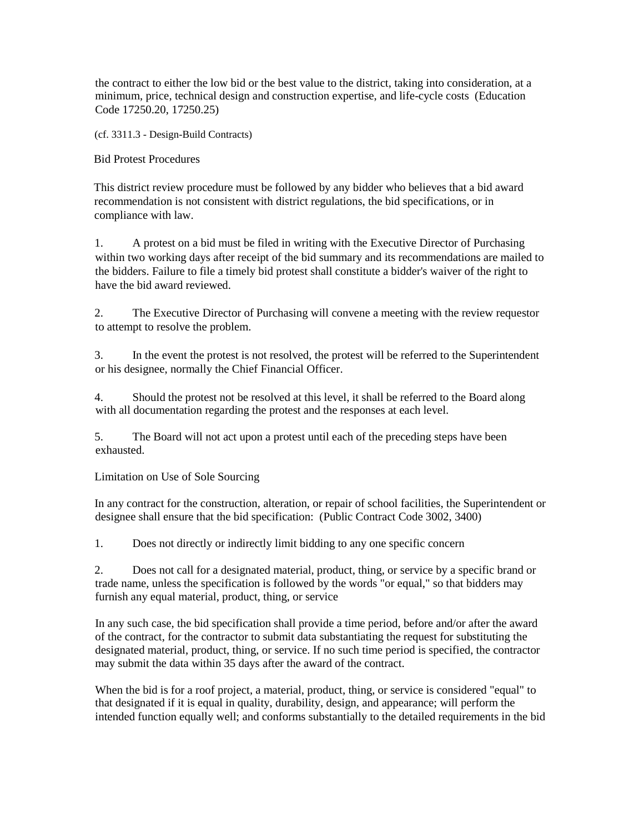the contract to either the low bid or the best value to the district, taking into consideration, at a minimum, price, technical design and construction expertise, and life-cycle costs (Education Code 17250.20, 17250.25)

(cf. 3311.3 - Design-Build Contracts)

Bid Protest Procedures

This district review procedure must be followed by any bidder who believes that a bid award recommendation is not consistent with district regulations, the bid specifications, or in compliance with law.

1. A protest on a bid must be filed in writing with the Executive Director of Purchasing within two working days after receipt of the bid summary and its recommendations are mailed to the bidders. Failure to file a timely bid protest shall constitute a bidder's waiver of the right to have the bid award reviewed.

2. The Executive Director of Purchasing will convene a meeting with the review requestor to attempt to resolve the problem.

3. In the event the protest is not resolved, the protest will be referred to the Superintendent or his designee, normally the Chief Financial Officer.

4. Should the protest not be resolved at this level, it shall be referred to the Board along with all documentation regarding the protest and the responses at each level.

5. The Board will not act upon a protest until each of the preceding steps have been exhausted.

Limitation on Use of Sole Sourcing

In any contract for the construction, alteration, or repair of school facilities, the Superintendent or designee shall ensure that the bid specification: (Public Contract Code 3002, 3400)

1. Does not directly or indirectly limit bidding to any one specific concern

2. Does not call for a designated material, product, thing, or service by a specific brand or trade name, unless the specification is followed by the words "or equal," so that bidders may furnish any equal material, product, thing, or service

In any such case, the bid specification shall provide a time period, before and/or after the award of the contract, for the contractor to submit data substantiating the request for substituting the designated material, product, thing, or service. If no such time period is specified, the contractor may submit the data within 35 days after the award of the contract.

When the bid is for a roof project, a material, product, thing, or service is considered "equal" to that designated if it is equal in quality, durability, design, and appearance; will perform the intended function equally well; and conforms substantially to the detailed requirements in the bid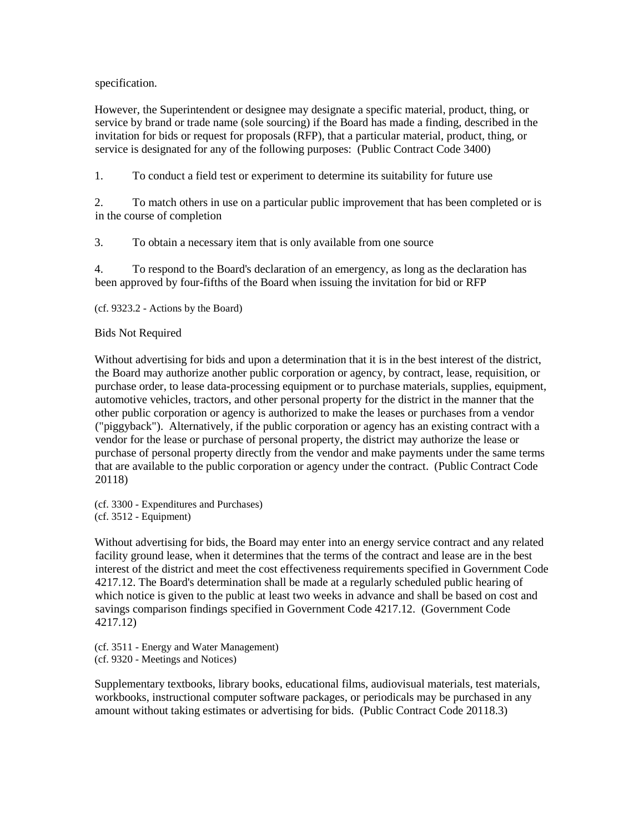### specification.

However, the Superintendent or designee may designate a specific material, product, thing, or service by brand or trade name (sole sourcing) if the Board has made a finding, described in the invitation for bids or request for proposals (RFP), that a particular material, product, thing, or service is designated for any of the following purposes: (Public Contract Code 3400)

1. To conduct a field test or experiment to determine its suitability for future use

2. To match others in use on a particular public improvement that has been completed or is in the course of completion

3. To obtain a necessary item that is only available from one source

4. To respond to the Board's declaration of an emergency, as long as the declaration has been approved by four-fifths of the Board when issuing the invitation for bid or RFP

(cf. 9323.2 - Actions by the Board)

### Bids Not Required

Without advertising for bids and upon a determination that it is in the best interest of the district, the Board may authorize another public corporation or agency, by contract, lease, requisition, or purchase order, to lease data-processing equipment or to purchase materials, supplies, equipment, automotive vehicles, tractors, and other personal property for the district in the manner that the other public corporation or agency is authorized to make the leases or purchases from a vendor ("piggyback"). Alternatively, if the public corporation or agency has an existing contract with a vendor for the lease or purchase of personal property, the district may authorize the lease or purchase of personal property directly from the vendor and make payments under the same terms that are available to the public corporation or agency under the contract. (Public Contract Code 20118)

(cf. 3300 - Expenditures and Purchases) (cf. 3512 - Equipment)

Without advertising for bids, the Board may enter into an energy service contract and any related facility ground lease, when it determines that the terms of the contract and lease are in the best interest of the district and meet the cost effectiveness requirements specified in Government Code 4217.12. The Board's determination shall be made at a regularly scheduled public hearing of which notice is given to the public at least two weeks in advance and shall be based on cost and savings comparison findings specified in Government Code 4217.12. (Government Code 4217.12)

(cf. 3511 - Energy and Water Management) (cf. 9320 - Meetings and Notices)

Supplementary textbooks, library books, educational films, audiovisual materials, test materials, workbooks, instructional computer software packages, or periodicals may be purchased in any amount without taking estimates or advertising for bids. (Public Contract Code 20118.3)